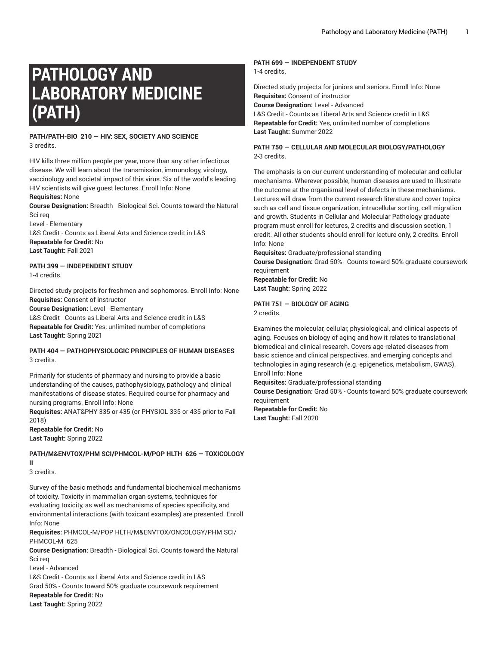# **PATHOLOGY AND LABORATORY MEDICINE (PATH)**

#### **PATH/PATH-BIO 210 — HIV: SEX, SOCIETY AND SCIENCE** 3 credits.

HIV kills three million people per year, more than any other infectious disease. We will learn about the transmission, immunology, virology, vaccinology and societal impact of this virus. Six of the world's leading HIV scientists will give guest lectures. Enroll Info: None

**Requisites:** None

**Course Designation:** Breadth - Biological Sci. Counts toward the Natural Sci req

Level - Elementary

L&S Credit - Counts as Liberal Arts and Science credit in L&S **Repeatable for Credit:** No **Last Taught:** Fall 2021

# **PATH 399 — INDEPENDENT STUDY**

1-4 credits.

Directed study projects for freshmen and sophomores. Enroll Info: None **Requisites:** Consent of instructor

**Course Designation:** Level - Elementary

L&S Credit - Counts as Liberal Arts and Science credit in L&S **Repeatable for Credit:** Yes, unlimited number of completions **Last Taught:** Spring 2021

## **PATH 404 — PATHOPHYSIOLOGIC PRINCIPLES OF HUMAN DISEASES** 3 credits.

Primarily for students of pharmacy and nursing to provide a basic understanding of the causes, pathophysiology, pathology and clinical manifestations of disease states. Required course for pharmacy and nursing programs. Enroll Info: None

**Requisites:** ANAT&PHY 335 or 435 (or PHYSIOL 335 or 435 prior to Fall 2018)

**Repeatable for Credit:** No **Last Taught:** Spring 2022

#### **PATH/M&ENVTOX/PHM SCI/PHMCOL-M/POP HLTH 626 — TOXICOLOGY II**

3 credits.

Survey of the basic methods and fundamental biochemical mechanisms of toxicity. Toxicity in mammalian organ systems, techniques for evaluating toxicity, as well as mechanisms of species specificity, and environmental interactions (with toxicant examples) are presented. Enroll Info: None

**Requisites:** PHMCOL-M/POP HLTH/M&ENVTOX/ONCOLOGY/PHM SCI/ PHMCOL-M 625

**Course Designation:** Breadth - Biological Sci. Counts toward the Natural Sci req

Level - Advanced L&S Credit - Counts as Liberal Arts and Science credit in L&S Grad 50% - Counts toward 50% graduate coursework requirement **Repeatable for Credit:** No **Last Taught:** Spring 2022

## **PATH 699 — INDEPENDENT STUDY**

1-4 credits.

Directed study projects for juniors and seniors. Enroll Info: None **Requisites:** Consent of instructor **Course Designation:** Level - Advanced L&S Credit - Counts as Liberal Arts and Science credit in L&S **Repeatable for Credit:** Yes, unlimited number of completions **Last Taught:** Summer 2022

# **PATH 750 — CELLULAR AND MOLECULAR BIOLOGY/PATHOLOGY** 2-3 credits.

The emphasis is on our current understanding of molecular and cellular mechanisms. Wherever possible, human diseases are used to illustrate the outcome at the organismal level of defects in these mechanisms. Lectures will draw from the current research literature and cover topics such as cell and tissue organization, intracellular sorting, cell migration and growth. Students in Cellular and Molecular Pathology graduate program must enroll for lectures, 2 credits and discussion section, 1 credit. All other students should enroll for lecture only, 2 credits. Enroll Info: None

**Requisites:** Graduate/professional standing

**Course Designation:** Grad 50% - Counts toward 50% graduate coursework requirement

**Repeatable for Credit:** No **Last Taught:** Spring 2022

# **PATH 751 — BIOLOGY OF AGING**

2 credits.

Examines the molecular, cellular, physiological, and clinical aspects of aging. Focuses on biology of aging and how it relates to translational biomedical and clinical research. Covers age-related diseases from basic science and clinical perspectives, and emerging concepts and technologies in aging research (e.g. epigenetics, metabolism, GWAS). Enroll Info: None

**Requisites:** Graduate/professional standing

**Course Designation:** Grad 50% - Counts toward 50% graduate coursework requirement

**Repeatable for Credit:** No **Last Taught:** Fall 2020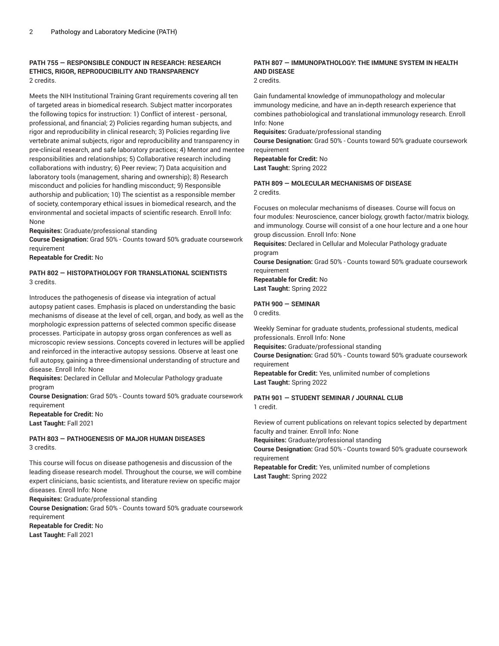# **PATH 755 — RESPONSIBLE CONDUCT IN RESEARCH: RESEARCH ETHICS, RIGOR, REPRODUCIBILITY AND TRANSPARENCY** 2 credits.

Meets the NIH Institutional Training Grant requirements covering all ten of targeted areas in biomedical research. Subject matter incorporates the following topics for instruction: 1) Conflict of interest - personal, professional, and financial; 2) Policies regarding human subjects, and rigor and reproducibility in clinical research; 3) Policies regarding live vertebrate animal subjects, rigor and reproducibility and transparency in pre-clinical research, and safe laboratory practices; 4) Mentor and mentee responsibilities and relationships; 5) Collaborative research including collaborations with industry; 6) Peer review; 7) Data acquisition and laboratory tools (management, sharing and ownership); 8) Research misconduct and policies for handling misconduct; 9) Responsible authorship and publication; 10) The scientist as a responsible member of society, contemporary ethical issues in biomedical research, and the environmental and societal impacts of scientific research. Enroll Info: None

**Requisites:** Graduate/professional standing

**Course Designation:** Grad 50% - Counts toward 50% graduate coursework requirement

**Repeatable for Credit:** No

# **PATH 802 — HISTOPATHOLOGY FOR TRANSLATIONAL SCIENTISTS** 3 credits.

Introduces the pathogenesis of disease via integration of actual autopsy patient cases. Emphasis is placed on understanding the basic mechanisms of disease at the level of cell, organ, and body, as well as the morphologic expression patterns of selected common specific disease processes. Participate in autopsy gross organ conferences as well as microscopic review sessions. Concepts covered in lectures will be applied and reinforced in the interactive autopsy sessions. Observe at least one full autopsy, gaining a three-dimensional understanding of structure and disease. Enroll Info: None

**Requisites:** Declared in Cellular and Molecular Pathology graduate program

**Course Designation:** Grad 50% - Counts toward 50% graduate coursework requirement

**Repeatable for Credit:** No **Last Taught:** Fall 2021

#### **PATH 803 — PATHOGENESIS OF MAJOR HUMAN DISEASES** 3 credits.

This course will focus on disease pathogenesis and discussion of the leading disease research model. Throughout the course, we will combine expert clinicians, basic scientists, and literature review on specific major diseases. Enroll Info: None

**Requisites:** Graduate/professional standing

**Course Designation:** Grad 50% - Counts toward 50% graduate coursework requirement

**Repeatable for Credit:** No **Last Taught:** Fall 2021

# **PATH 807 — IMMUNOPATHOLOGY: THE IMMUNE SYSTEM IN HEALTH AND DISEASE**

2 credits.

Gain fundamental knowledge of immunopathology and molecular immunology medicine, and have an in-depth research experience that combines pathobiological and translational immunology research. Enroll Info: None

**Requisites:** Graduate/professional standing

**Course Designation:** Grad 50% - Counts toward 50% graduate coursework requirement

**Repeatable for Credit:** No **Last Taught:** Spring 2022

#### **PATH 809 — MOLECULAR MECHANISMS OF DISEASE** 2 credits.

Focuses on molecular mechanisms of diseases. Course will focus on four modules: Neuroscience, cancer biology, growth factor/matrix biology, and immunology. Course will consist of a one hour lecture and a one hour group discussion. Enroll Info: None

**Requisites:** Declared in Cellular and Molecular Pathology graduate program

**Course Designation:** Grad 50% - Counts toward 50% graduate coursework requirement

**Repeatable for Credit:** No **Last Taught:** Spring 2022

# **PATH 900 — SEMINAR**

0 credits.

Weekly Seminar for graduate students, professional students, medical professionals. Enroll Info: None **Requisites:** Graduate/professional standing **Course Designation:** Grad 50% - Counts toward 50% graduate coursework

requirement

**Repeatable for Credit:** Yes, unlimited number of completions **Last Taught:** Spring 2022

#### **PATH 901 — STUDENT SEMINAR / JOURNAL CLUB** 1 credit.

Review of current publications on relevant topics selected by department faculty and trainer. Enroll Info: None

**Requisites:** Graduate/professional standing

**Course Designation:** Grad 50% - Counts toward 50% graduate coursework requirement

**Repeatable for Credit:** Yes, unlimited number of completions **Last Taught:** Spring 2022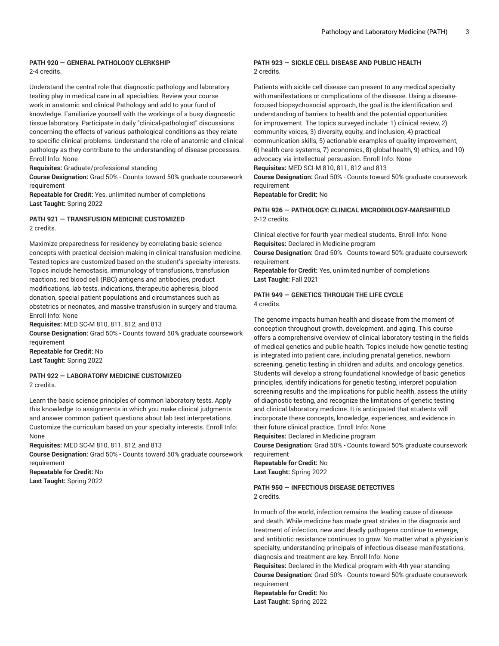#### **PATH 920 — GENERAL PATHOLOGY CLERKSHIP** 2-4 credits.

Understand the central role that diagnostic pathology and laboratory testing play in medical care in all specialties. Review your course work in anatomic and clinical Pathology and add to your fund of knowledge. Familiarize yourself with the workings of a busy diagnostic tissue laboratory. Participate in daily "clinical-pathologist" discussions concerning the effects of various pathological conditions as they relate to specific clinical problems. Understand the role of anatomic and clinical pathology as they contribute to the understanding of disease processes. Enroll Info: None

**Requisites:** Graduate/professional standing

**Course Designation:** Grad 50% - Counts toward 50% graduate coursework requirement

**Repeatable for Credit:** Yes, unlimited number of completions **Last Taught:** Spring 2022

# **PATH 921 — TRANSFUSION MEDICINE CUSTOMIZED** 2 credits.

Maximize preparedness for residency by correlating basic science concepts with practical decision-making in clinical transfusion medicine. Tested topics are customized based on the student's specialty interests. Topics include hemostasis, immunology of transfusions, transfusion reactions, red blood cell (RBC) antigens and antibodies, product modifications, lab tests, indications, therapeutic apheresis, blood donation, special patient populations and circumstances such as obstetrics or neonates, and massive transfusion in surgery and trauma. Enroll Info: None

**Requisites:** MED SC-M 810, 811, 812, and 813

**Course Designation:** Grad 50% - Counts toward 50% graduate coursework requirement

**Repeatable for Credit:** No **Last Taught:** Spring 2022

#### **PATH 922 — LABORATORY MEDICINE CUSTOMIZED** 2 credits.

Learn the basic science principles of common laboratory tests. Apply this knowledge to assignments in which you make clinical judgments and answer common patient questions about lab test interpretations. Customize the curriculum based on your specialty interests. Enroll Info: None

**Requisites:** MED SC-M 810, 811, 812, and 813 **Course Designation:** Grad 50% - Counts toward 50% graduate coursework requirement **Repeatable for Credit:** No

**Last Taught:** Spring 2022

#### **PATH 923 — SICKLE CELL DISEASE AND PUBLIC HEALTH** 2 credits.

Patients with sickle cell disease can present to any medical specialty with manifestations or complications of the disease. Using a diseasefocused biopsychosocial approach, the goal is the identification and understanding of barriers to health and the potential opportunities for improvement. The topics surveyed include: 1) clinical review, 2) community voices, 3) diversity, equity, and inclusion, 4) practical communication skills, 5) actionable examples of quality improvement, 6) health care systems, 7) economics, 8) global health, 9) ethics, and 10) advocacy via intellectual persuasion. Enroll Info: None **Requisites:** MED SCI-M 810, 811, 812 and 813 **Course Designation:** Grad 50% - Counts toward 50% graduate coursework requirement

**Repeatable for Credit:** No

## **PATH 926 — PATHOLOGY: CLINICAL MICROBIOLOGY-MARSHFIELD** 2-12 credits.

Clinical elective for fourth year medical students. Enroll Info: None **Requisites:** Declared in Medicine program

**Course Designation:** Grad 50% - Counts toward 50% graduate coursework requirement

**Repeatable for Credit:** Yes, unlimited number of completions **Last Taught:** Fall 2021

#### **PATH 949 — GENETICS THROUGH THE LIFE CYCLE** 4 credits.

The genome impacts human health and disease from the moment of conception throughout growth, development, and aging. This course offers a comprehensive overview of clinical laboratory testing in the fields of medical genetics and public health. Topics include how genetic testing is integrated into patient care, including prenatal genetics, newborn screening, genetic testing in children and adults, and oncology genetics. Students will develop a strong foundational knowledge of basic genetics principles, identify indications for genetic testing, interpret population screening results and the implications for public health, assess the utility of diagnostic testing, and recognize the limitations of genetic testing and clinical laboratory medicine. It is anticipated that students will incorporate these concepts, knowledge, experiences, and evidence in their future clinical practice. Enroll Info: None

**Requisites:** Declared in Medicine program

**Course Designation:** Grad 50% - Counts toward 50% graduate coursework requirement

**Repeatable for Credit:** No **Last Taught:** Spring 2022

# **PATH 950 — INFECTIOUS DISEASE DETECTIVES**

2 credits.

In much of the world, infection remains the leading cause of disease and death. While medicine has made great strides in the diagnosis and treatment of infection, new and deadly pathogens continue to emerge, and antibiotic resistance continues to grow. No matter what a physician's specialty, understanding principals of infectious disease manifestations, diagnosis and treatment are key. Enroll Info: None

**Requisites:** Declared in the Medical program with 4th year standing **Course Designation:** Grad 50% - Counts toward 50% graduate coursework requirement

**Repeatable for Credit:** No **Last Taught:** Spring 2022